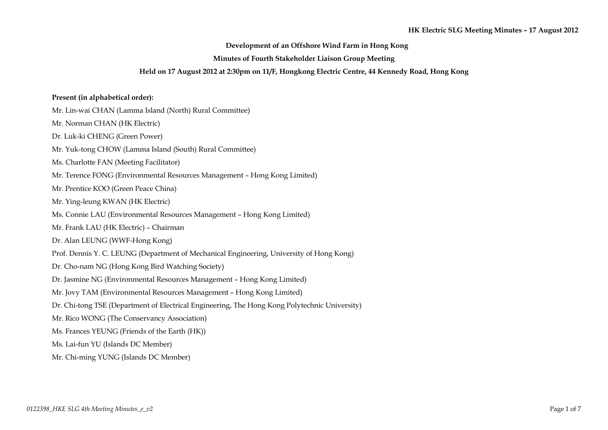### **Development of an Offshore Wind Farm in Hong Kong**

### **Minutes of Fourth Stakeholder Liaison Group Meeting**

#### **Held on 17 August 2012 at 2:30pm on 11/F, Hongkong Electric Centre, 44 Kennedy Road, Hong Kong**

### **Present (in alphabetical order):**

- Mr. Lin-wai CHAN (Lamma Island (North) Rural Committee)
- Mr. Norman CHAN (HK Electric)
- Dr. Luk-ki CHENG (Green Power)
- Mr. Yuk-tong CHOW (Lamma Island (South) Rural Committee)
- Ms. Charlotte FAN (Meeting Facilitator)
- Mr. Terence FONG (Environmental Resources Management Hong Kong Limited)
- Mr. Prentice KOO (Green Peace China)
- Mr. Ying-leung KWAN (HK Electric)
- Ms. Connie LAU (Environmental Resources Management Hong Kong Limited)
- Mr. Frank LAU (HK Electric) Chairman
- Dr. Alan LEUNG (WWF-Hong Kong)
- Prof. Dennis Y. C. LEUNG (Department of Mechanical Engineering, University of Hong Kong)
- Dr. Cho-nam NG (Hong Kong Bird Watching Society)
- Dr. Jasmine NG (Environmental Resources Management Hong Kong Limited)
- Mr. Jovy TAM (Environmental Resources Management Hong Kong Limited)
- Dr. Chi-tong TSE (Department of Electrical Engineering, The Hong Kong Polytechnic University)
- Mr. Rico WONG (The Conservancy Association)
- Ms. Frances YEUNG (Friends of the Earth (HK))
- Ms. Lai-fun YU (Islands DC Member)
- Mr. Chi-ming YUNG (Islands DC Member)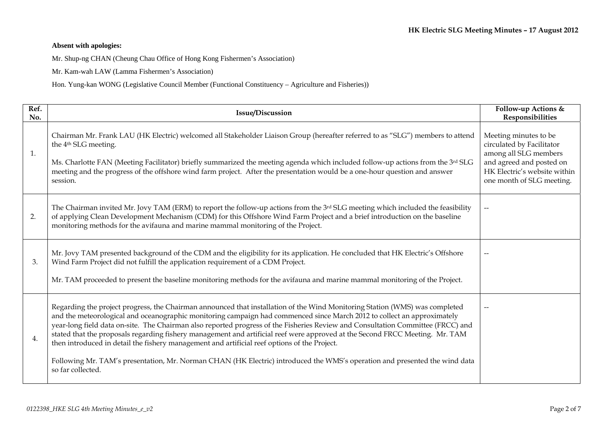### **Absent with apologies:**

Mr. Shup-ng CHAN (Cheung Chau Office of Hong Kong Fishermen's Association)

Mr. Kam-wah LAW (Lamma Fishermen's Association)

Hon. Yung-kan WONG (Legislative Council Member (Functional Constituency – Agriculture and Fisheries))

| Ref.<br>No.    | <b>Issue/Discussion</b>                                                                                                                                                                                                                                                                                                                                                                                                                                                                                                                                                                                                                                                                                                                                                      | Follow-up Actions &<br>Responsibilities                                                                                                                              |
|----------------|------------------------------------------------------------------------------------------------------------------------------------------------------------------------------------------------------------------------------------------------------------------------------------------------------------------------------------------------------------------------------------------------------------------------------------------------------------------------------------------------------------------------------------------------------------------------------------------------------------------------------------------------------------------------------------------------------------------------------------------------------------------------------|----------------------------------------------------------------------------------------------------------------------------------------------------------------------|
| $\mathbf{1}$ . | Chairman Mr. Frank LAU (HK Electric) welcomed all Stakeholder Liaison Group (hereafter referred to as "SLG") members to attend<br>the 4 <sup>th</sup> SLG meeting.<br>Ms. Charlotte FAN (Meeting Facilitator) briefly summarized the meeting agenda which included follow-up actions from the 3rd SLG<br>meeting and the progress of the offshore wind farm project. After the presentation would be a one-hour question and answer<br>session.                                                                                                                                                                                                                                                                                                                              | Meeting minutes to be<br>circulated by Facilitator<br>among all SLG members<br>and agreed and posted on<br>HK Electric's website within<br>one month of SLG meeting. |
| 2.             | The Chairman invited Mr. Jovy TAM (ERM) to report the follow-up actions from the 3rd SLG meeting which included the feasibility<br>of applying Clean Development Mechanism (CDM) for this Offshore Wind Farm Project and a brief introduction on the baseline<br>monitoring methods for the avifauna and marine mammal monitoring of the Project.                                                                                                                                                                                                                                                                                                                                                                                                                            |                                                                                                                                                                      |
| 3.             | Mr. Jovy TAM presented background of the CDM and the eligibility for its application. He concluded that HK Electric's Offshore<br>Wind Farm Project did not fulfill the application requirement of a CDM Project.<br>Mr. TAM proceeded to present the baseline monitoring methods for the avifauna and marine mammal monitoring of the Project.                                                                                                                                                                                                                                                                                                                                                                                                                              |                                                                                                                                                                      |
| 4.             | Regarding the project progress, the Chairman announced that installation of the Wind Monitoring Station (WMS) was completed<br>and the meteorological and oceanographic monitoring campaign had commenced since March 2012 to collect an approximately<br>year-long field data on-site. The Chairman also reported progress of the Fisheries Review and Consultation Committee (FRCC) and<br>stated that the proposals regarding fishery management and artificial reef were approved at the Second FRCC Meeting. Mr. TAM<br>then introduced in detail the fishery management and artificial reef options of the Project.<br>Following Mr. TAM's presentation, Mr. Norman CHAN (HK Electric) introduced the WMS's operation and presented the wind data<br>so far collected. |                                                                                                                                                                      |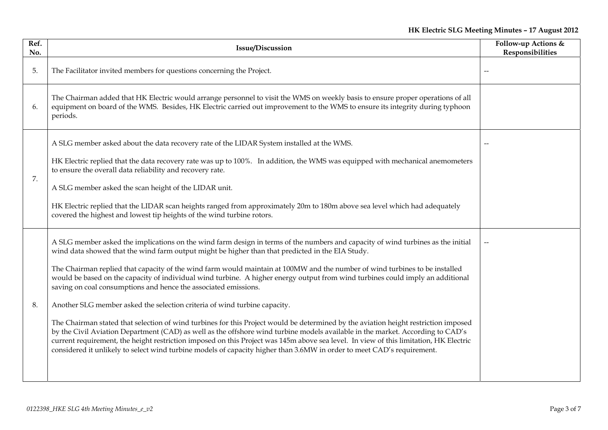| Ref.<br>No. | <b>Issue/Discussion</b>                                                                                                                                                                                                                                                                                                                                                                                                                                                                                                                                                                                                                                                                                                                                                                                                                                                                                                                                                                                                                                                                                                                                                                           | Follow-up Actions &<br>Responsibilities |
|-------------|---------------------------------------------------------------------------------------------------------------------------------------------------------------------------------------------------------------------------------------------------------------------------------------------------------------------------------------------------------------------------------------------------------------------------------------------------------------------------------------------------------------------------------------------------------------------------------------------------------------------------------------------------------------------------------------------------------------------------------------------------------------------------------------------------------------------------------------------------------------------------------------------------------------------------------------------------------------------------------------------------------------------------------------------------------------------------------------------------------------------------------------------------------------------------------------------------|-----------------------------------------|
| 5.          | The Facilitator invited members for questions concerning the Project.                                                                                                                                                                                                                                                                                                                                                                                                                                                                                                                                                                                                                                                                                                                                                                                                                                                                                                                                                                                                                                                                                                                             |                                         |
| 6.          | The Chairman added that HK Electric would arrange personnel to visit the WMS on weekly basis to ensure proper operations of all<br>equipment on board of the WMS. Besides, HK Electric carried out improvement to the WMS to ensure its integrity during typhoon<br>periods.                                                                                                                                                                                                                                                                                                                                                                                                                                                                                                                                                                                                                                                                                                                                                                                                                                                                                                                      |                                         |
| 7.          | A SLG member asked about the data recovery rate of the LIDAR System installed at the WMS.<br>HK Electric replied that the data recovery rate was up to 100%. In addition, the WMS was equipped with mechanical anemometers<br>to ensure the overall data reliability and recovery rate.<br>A SLG member asked the scan height of the LIDAR unit.<br>HK Electric replied that the LIDAR scan heights ranged from approximately 20m to 180m above sea level which had adequately<br>covered the highest and lowest tip heights of the wind turbine rotors.                                                                                                                                                                                                                                                                                                                                                                                                                                                                                                                                                                                                                                          |                                         |
| 8.          | A SLG member asked the implications on the wind farm design in terms of the numbers and capacity of wind turbines as the initial<br>wind data showed that the wind farm output might be higher than that predicted in the EIA Study.<br>The Chairman replied that capacity of the wind farm would maintain at 100MW and the number of wind turbines to be installed<br>would be based on the capacity of individual wind turbine. A higher energy output from wind turbines could imply an additional<br>saving on coal consumptions and hence the associated emissions.<br>Another SLG member asked the selection criteria of wind turbine capacity.<br>The Chairman stated that selection of wind turbines for this Project would be determined by the aviation height restriction imposed<br>by the Civil Aviation Department (CAD) as well as the offshore wind turbine models available in the market. According to CAD's<br>current requirement, the height restriction imposed on this Project was 145m above sea level. In view of this limitation, HK Electric<br>considered it unlikely to select wind turbine models of capacity higher than 3.6MW in order to meet CAD's requirement. |                                         |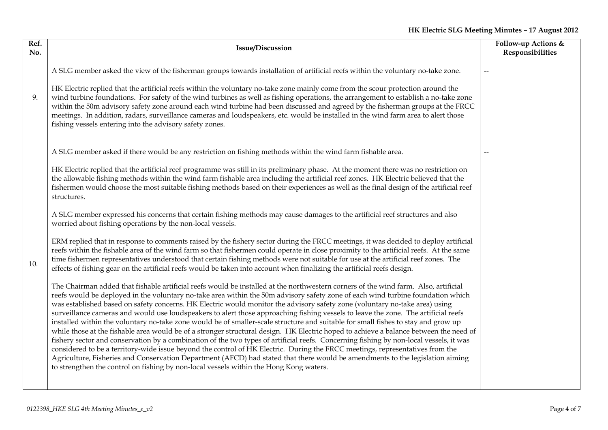# **HK Electric SLG Meeting Minutes – 17 August 2012**

| Ref.<br>No. | <b>Issue/Discussion</b>                                                                                                                                                                                                                                                                                                                                                                                                                                                                                                                                                                                                                                                                                                                                                                                                                                                                                                                                                                                                                                                                                                                                                                                                                                                                                                                                                                                                                                                                                                                                                                                                                                                                                                                                                                                                                                                                                                                                                                                                                                                                                                                                                                                                                                                                                                                                                                                                                                                                                                                                                                                                                   | Follow-up Actions &<br>Responsibilities |
|-------------|-------------------------------------------------------------------------------------------------------------------------------------------------------------------------------------------------------------------------------------------------------------------------------------------------------------------------------------------------------------------------------------------------------------------------------------------------------------------------------------------------------------------------------------------------------------------------------------------------------------------------------------------------------------------------------------------------------------------------------------------------------------------------------------------------------------------------------------------------------------------------------------------------------------------------------------------------------------------------------------------------------------------------------------------------------------------------------------------------------------------------------------------------------------------------------------------------------------------------------------------------------------------------------------------------------------------------------------------------------------------------------------------------------------------------------------------------------------------------------------------------------------------------------------------------------------------------------------------------------------------------------------------------------------------------------------------------------------------------------------------------------------------------------------------------------------------------------------------------------------------------------------------------------------------------------------------------------------------------------------------------------------------------------------------------------------------------------------------------------------------------------------------------------------------------------------------------------------------------------------------------------------------------------------------------------------------------------------------------------------------------------------------------------------------------------------------------------------------------------------------------------------------------------------------------------------------------------------------------------------------------------------------|-----------------------------------------|
| 9.          | A SLG member asked the view of the fisherman groups towards installation of artificial reefs within the voluntary no-take zone.<br>HK Electric replied that the artificial reefs within the voluntary no-take zone mainly come from the scour protection around the<br>wind turbine foundations. For safety of the wind turbines as well as fishing operations, the arrangement to establish a no-take zone<br>within the 50m advisory safety zone around each wind turbine had been discussed and agreed by the fisherman groups at the FRCC<br>meetings. In addition, radars, surveillance cameras and loudspeakers, etc. would be installed in the wind farm area to alert those<br>fishing vessels entering into the advisory safety zones.                                                                                                                                                                                                                                                                                                                                                                                                                                                                                                                                                                                                                                                                                                                                                                                                                                                                                                                                                                                                                                                                                                                                                                                                                                                                                                                                                                                                                                                                                                                                                                                                                                                                                                                                                                                                                                                                                           | $\overline{\phantom{a}}$                |
| 10.         | A SLG member asked if there would be any restriction on fishing methods within the wind farm fishable area.<br>HK Electric replied that the artificial reef programme was still in its preliminary phase. At the moment there was no restriction on<br>the allowable fishing methods within the wind farm fishable area including the artificial reef zones. HK Electric believed that the<br>fishermen would choose the most suitable fishing methods based on their experiences as well as the final design of the artificial reef<br>structures.<br>A SLG member expressed his concerns that certain fishing methods may cause damages to the artificial reef structures and also<br>worried about fishing operations by the non-local vessels.<br>ERM replied that in response to comments raised by the fishery sector during the FRCC meetings, it was decided to deploy artificial<br>reefs within the fishable area of the wind farm so that fishermen could operate in close proximity to the artificial reefs. At the same<br>time fishermen representatives understood that certain fishing methods were not suitable for use at the artificial reef zones. The<br>effects of fishing gear on the artificial reefs would be taken into account when finalizing the artificial reefs design.<br>The Chairman added that fishable artificial reefs would be installed at the northwestern corners of the wind farm. Also, artificial<br>reefs would be deployed in the voluntary no-take area within the 50m advisory safety zone of each wind turbine foundation which<br>was established based on safety concerns. HK Electric would monitor the advisory safety zone (voluntary no-take area) using<br>surveillance cameras and would use loudspeakers to alert those approaching fishing vessels to leave the zone. The artificial reefs<br>installed within the voluntary no-take zone would be of smaller-scale structure and suitable for small fishes to stay and grow up<br>while those at the fishable area would be of a stronger structural design. HK Electric hoped to achieve a balance between the need of<br>fishery sector and conservation by a combination of the two types of artificial reefs. Concerning fishing by non-local vessels, it was<br>considered to be a territory-wide issue beyond the control of HK Electric. During the FRCC meetings, representatives from the<br>Agriculture, Fisheries and Conservation Department (AFCD) had stated that there would be amendments to the legislation aiming<br>to strengthen the control on fishing by non-local vessels within the Hong Kong waters. |                                         |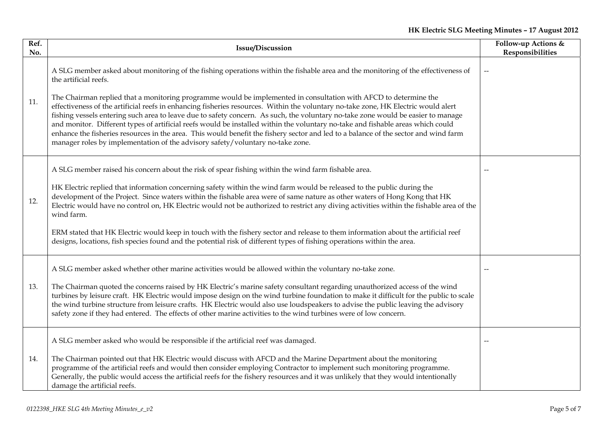# **HK Electric SLG Meeting Minutes – 17 August 2012**

| Ref.<br>No. | Issue/Discussion                                                                                                                                                                                                                                                                                                                                                                                                                                                                                                                                                                                                                                                                                                                                       | Follow-up Actions &<br>Responsibilities |
|-------------|--------------------------------------------------------------------------------------------------------------------------------------------------------------------------------------------------------------------------------------------------------------------------------------------------------------------------------------------------------------------------------------------------------------------------------------------------------------------------------------------------------------------------------------------------------------------------------------------------------------------------------------------------------------------------------------------------------------------------------------------------------|-----------------------------------------|
|             | A SLG member asked about monitoring of the fishing operations within the fishable area and the monitoring of the effectiveness of<br>the artificial reefs.                                                                                                                                                                                                                                                                                                                                                                                                                                                                                                                                                                                             | $\overline{\phantom{m}}$                |
| 11.         | The Chairman replied that a monitoring programme would be implemented in consultation with AFCD to determine the<br>effectiveness of the artificial reefs in enhancing fisheries resources. Within the voluntary no-take zone, HK Electric would alert<br>fishing vessels entering such area to leave due to safety concern. As such, the voluntary no-take zone would be easier to manage<br>and monitor. Different types of artificial reefs would be installed within the voluntary no-take and fishable areas which could<br>enhance the fisheries resources in the area. This would benefit the fishery sector and led to a balance of the sector and wind farm<br>manager roles by implementation of the advisory safety/voluntary no-take zone. |                                         |
| 12.         | A SLG member raised his concern about the risk of spear fishing within the wind farm fishable area.                                                                                                                                                                                                                                                                                                                                                                                                                                                                                                                                                                                                                                                    |                                         |
|             | HK Electric replied that information concerning safety within the wind farm would be released to the public during the<br>development of the Project. Since waters within the fishable area were of same nature as other waters of Hong Kong that HK<br>Electric would have no control on, HK Electric would not be authorized to restrict any diving activities within the fishable area of the<br>wind farm.                                                                                                                                                                                                                                                                                                                                         |                                         |
|             | ERM stated that HK Electric would keep in touch with the fishery sector and release to them information about the artificial reef<br>designs, locations, fish species found and the potential risk of different types of fishing operations within the area.                                                                                                                                                                                                                                                                                                                                                                                                                                                                                           |                                         |
| 13.         | A SLG member asked whether other marine activities would be allowed within the voluntary no-take zone.                                                                                                                                                                                                                                                                                                                                                                                                                                                                                                                                                                                                                                                 |                                         |
|             | The Chairman quoted the concerns raised by HK Electric's marine safety consultant regarding unauthorized access of the wind<br>turbines by leisure craft. HK Electric would impose design on the wind turbine foundation to make it difficult for the public to scale<br>the wind turbine structure from leisure crafts. HK Electric would also use loudspeakers to advise the public leaving the advisory<br>safety zone if they had entered. The effects of other marine activities to the wind turbines were of low concern.                                                                                                                                                                                                                        |                                         |
| 14.         | A SLG member asked who would be responsible if the artificial reef was damaged.                                                                                                                                                                                                                                                                                                                                                                                                                                                                                                                                                                                                                                                                        |                                         |
|             | The Chairman pointed out that HK Electric would discuss with AFCD and the Marine Department about the monitoring<br>programme of the artificial reefs and would then consider employing Contractor to implement such monitoring programme.<br>Generally, the public would access the artificial reefs for the fishery resources and it was unlikely that they would intentionally<br>damage the artificial reefs.                                                                                                                                                                                                                                                                                                                                      |                                         |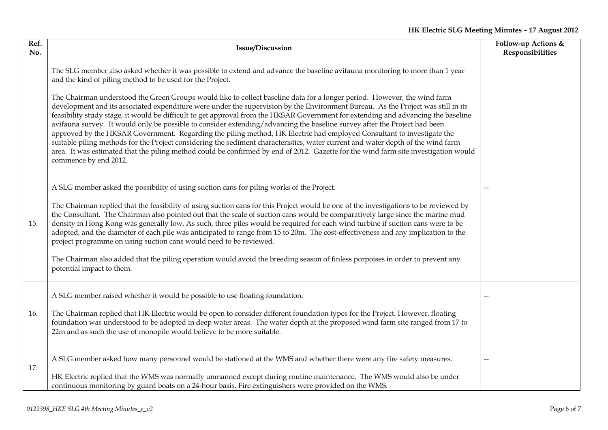| Ref.<br>No. | <b>Issue/Discussion</b>                                                                                                                                                                                                                                                                                                                                                                                                                                                                                                                                                                                                                                                                                                                                                                                                                                                                                                                                                                                                                                                                                                                                  | Follow-up Actions &<br>Responsibilities |
|-------------|----------------------------------------------------------------------------------------------------------------------------------------------------------------------------------------------------------------------------------------------------------------------------------------------------------------------------------------------------------------------------------------------------------------------------------------------------------------------------------------------------------------------------------------------------------------------------------------------------------------------------------------------------------------------------------------------------------------------------------------------------------------------------------------------------------------------------------------------------------------------------------------------------------------------------------------------------------------------------------------------------------------------------------------------------------------------------------------------------------------------------------------------------------|-----------------------------------------|
|             | The SLG member also asked whether it was possible to extend and advance the baseline avifauna monitoring to more than 1 year<br>and the kind of piling method to be used for the Project.<br>The Chairman understood the Green Groups would like to collect baseline data for a longer period. However, the wind farm<br>development and its associated expenditure were under the supervision by the Environment Bureau. As the Project was still in its<br>feasibility study stage, it would be difficult to get approval from the HKSAR Government for extending and advancing the baseline<br>avifauna survey. It would only be possible to consider extending/advancing the baseline survey after the Project had been<br>approved by the HKSAR Government. Regarding the piling method, HK Electric had employed Consultant to investigate the<br>suitable piling methods for the Project considering the sediment characteristics, water current and water depth of the wind farm<br>area. It was estimated that the piling method could be confirmed by end of 2012. Gazette for the wind farm site investigation would<br>commence by end 2012. |                                         |
| 15.         | A SLG member asked the possibility of using suction cans for piling works of the Project.<br>The Chairman replied that the feasibility of using suction cans for this Project would be one of the investigations to be reviewed by<br>the Consultant. The Chairman also pointed out that the scale of suction cans would be comparatively large since the marine mud<br>density in Hong Kong was generally low. As such, three piles would be required for each wind turbine if suction cans were to be<br>adopted, and the diameter of each pile was anticipated to range from 15 to 20m. The cost-effectiveness and any implication to the<br>project programme on using suction cans would need to be reviewed.<br>The Chairman also added that the piling operation would avoid the breeding season of finless porpoises in order to prevent any<br>potential impact to them.                                                                                                                                                                                                                                                                        |                                         |
| 16.         | A SLG member raised whether it would be possible to use floating foundation.<br>The Chairman replied that HK Electric would be open to consider different foundation types for the Project. However, floating<br>foundation was understood to be adopted in deep water areas. The water depth at the proposed wind farm site ranged from 17 to<br>22m and as such the use of monopile would believe to be more suitable.                                                                                                                                                                                                                                                                                                                                                                                                                                                                                                                                                                                                                                                                                                                                 |                                         |
| 17.         | A SLG member asked how many personnel would be stationed at the WMS and whether there were any fire safety measures.<br>HK Electric replied that the WMS was normally unmanned except during routine maintenance. The WMS would also be under<br>continuous monitoring by guard boats on a 24-hour basis. Fire extinguishers were provided on the WMS.                                                                                                                                                                                                                                                                                                                                                                                                                                                                                                                                                                                                                                                                                                                                                                                                   |                                         |